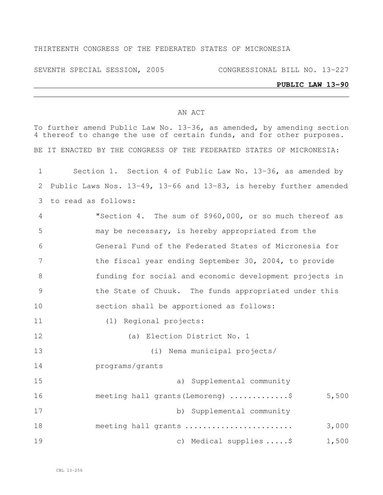#### THIRTEENTH CONGRESS OF THE FEDERATED STATES OF MICRONESIA

SEVENTH SPECIAL SESSION, 2005 CONGRESSIONAL BILL NO. 13-227

#### **PUBLIC LAW 13-90**

#### AN ACT

To further amend Public Law No. 13-36, as amended, by amending section 4 thereof to change the use of certain funds, and for other purposes. BE IT ENACTED BY THE CONGRESS OF THE FEDERATED STATES OF MICRONESIA:

 Section 1. Section 4 of Public Law No. 13-36, as amended by Public Laws Nos. 13-49, 13-66 and 13-83, is hereby further amended to read as follows:

 "Section 4. The sum of \$960,000, or so much thereof as may be necessary, is hereby appropriated from the General Fund of the Federated States of Micronesia for 7 the fiscal year ending September 30, 2004, to provide funding for social and economic development projects in the State of Chuuk. The funds appropriated under this section shall be apportioned as follows:

(1) Regional projects:

(a) Election District No. 1

(i) Nema municipal projects/

programs/grants

 a) Supplemental community meeting hall grants(Lemoreng) .............\$ 5,500 b) Supplemental community meeting hall grants ........................ 3,000 19 c) Medical supplies .....\$ 1,500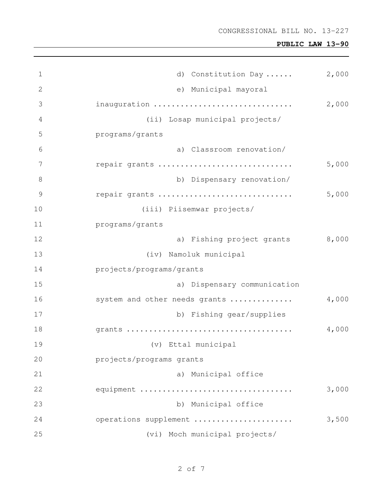| $\mathbf 1$   | d) Constitution Day            | 2,000 |
|---------------|--------------------------------|-------|
| $\mathbf{2}$  | e) Municipal mayoral           |       |
| 3             | inauguration                   | 2,000 |
| 4             | (ii) Losap municipal projects/ |       |
| 5             | programs/grants                |       |
| 6             | a) Classroom renovation/       |       |
| 7             | repair grants                  | 5,000 |
| 8             | b) Dispensary renovation/      |       |
| $\mathcal{G}$ | repair grants                  | 5,000 |
| 10            | (iii) Piisemwar projects/      |       |
| 11            | programs/grants                |       |
| 12            | a) Fishing project grants      | 8,000 |
| 13            | (iv) Namoluk municipal         |       |
| 14            | projects/programs/grants       |       |
| 15            | a) Dispensary communication    |       |
| 16            | system and other needs grants  | 4,000 |
| 17            | b) Fishing gear/supplies       |       |
| 18            |                                | 4,000 |
| 19            | (v) Ettal municipal            |       |
| 20            | projects/programs grants       |       |
| 21            | a) Municipal office            |       |
| 22            | equipment                      | 3,000 |
| 23            | b) Municipal office            |       |
| 24            | operations supplement          | 3,500 |
| 25            | (vi) Moch municipal projects/  |       |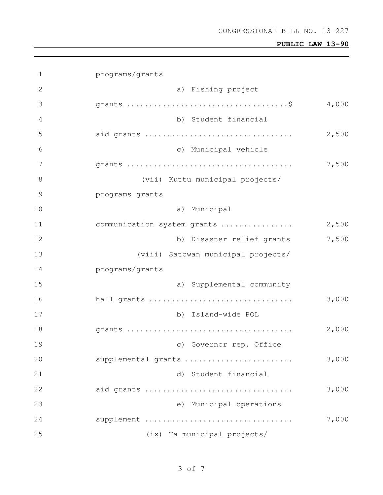| $\mathbf 1$    | programs/grants                    |       |
|----------------|------------------------------------|-------|
| $\overline{2}$ | a) Fishing project                 |       |
| 3              |                                    | 4,000 |
| 4              | b) Student financial               |       |
| 5              | aid grants                         | 2,500 |
| 6              | c) Municipal vehicle               |       |
| 7              |                                    | 7,500 |
| 8              | (vii) Kuttu municipal projects/    |       |
| 9              | programs grants                    |       |
| 10             | a) Municipal                       |       |
| 11             | communication system grants        | 2,500 |
| 12             | b) Disaster relief grants          | 7,500 |
| 13             | (viii) Satowan municipal projects/ |       |
| 14             | programs/grants                    |       |
| 15             | a) Supplemental community          |       |
| 16             | hall grants                        | 3,000 |
| 17             | b) Island-wide POL                 |       |
| 18             |                                    | 2,000 |
| 19             | c) Governor rep. Office            |       |
| 20             | supplemental grants                | 3,000 |
| 21             | d) Student financial               |       |
| 22             | aid grants                         | 3,000 |
| 23             | e) Municipal operations            |       |
| 24             | supplement                         | 7,000 |
| 25             | (ix) Ta municipal projects/        |       |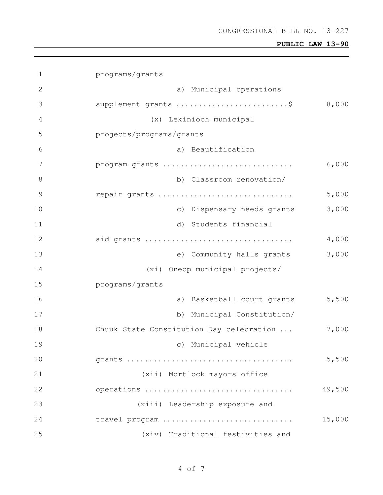| $\mathbf 1$   | programs/grants                          |        |
|---------------|------------------------------------------|--------|
| $\mathbf{2}$  | a) Municipal operations                  |        |
| 3             | supplement grants \$                     | 8,000  |
| 4             | (x) Lekinioch municipal                  |        |
| 5             | projects/programs/grants                 |        |
| 6             | a) Beautification                        |        |
| 7             | program grants                           | 6,000  |
| 8             | b) Classroom renovation/                 |        |
| $\mathcal{G}$ | repair grants                            | 5,000  |
| 10            | c) Dispensary needs grants               | 3,000  |
| 11            | d) Students financial                    |        |
| 12            | aid grants                               | 4,000  |
| 13            | e) Community halls grants                | 3,000  |
| 14            | (xi) Oneop municipal projects/           |        |
| 15            | programs/grants                          |        |
| 16            | a) Basketball court grants               | 5,500  |
| 17            | b) Municipal Constitution/               |        |
| 18            | Chuuk State Constitution Day celebration | 7,000  |
| 19            | c) Municipal vehicle                     |        |
| 20            |                                          | 5,500  |
| 21            | (xii) Mortlock mayors office             |        |
| 22            | operations                               | 49,500 |
| 23            | (xiii) Leadership exposure and           |        |
| 24            | travel program                           | 15,000 |
| 25            | (xiv) Traditional festivities and        |        |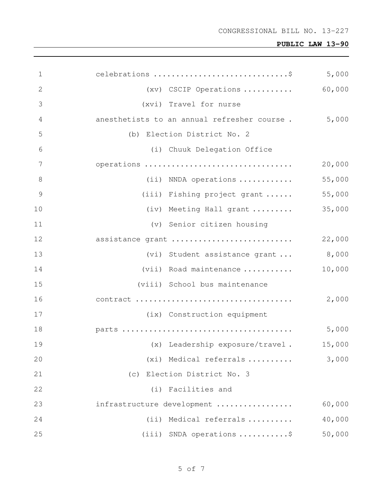| $\mathbf 1$    |                                             | 5,000  |
|----------------|---------------------------------------------|--------|
| 2              | (xv) CSCIP Operations                       | 60,000 |
| 3              | (xvi) Travel for nurse                      |        |
| $\overline{4}$ | anesthetists to an annual refresher course. | 5,000  |
| 5              | (b) Election District No. 2                 |        |
| 6              | (i) Chuuk Delegation Office                 |        |
| 7              | operations                                  | 20,000 |
| 8              | (ii) NNDA operations                        | 55,000 |
| 9              | (iii) Fishing project grant                 | 55,000 |
| 10             | (iv) Meeting Hall grant                     | 35,000 |
| 11             | (v) Senior citizen housing                  |        |
| 12             | assistance grant                            | 22,000 |
| 13             | (vi) Student assistance grant               | 8,000  |
| 14             | (vii) Road maintenance                      | 10,000 |
| 15             | (viii) School bus maintenance               |        |
| 16             |                                             | 2,000  |
| 17             | (ix) Construction equipment                 |        |
| 18             |                                             | 5,000  |
| 19             | (x) Leadership exposure/travel.             | 15,000 |
| 20             | (xi) Medical referrals                      | 3,000  |
| 21             | (c) Election District No. 3                 |        |
| 22             | (i) Facilities and                          |        |
| 23             | infrastructure development                  | 60,000 |
| 24             | (ii) Medical referrals                      | 40,000 |
| 25             | $(iii)$ SNDA operations \$                  | 50,000 |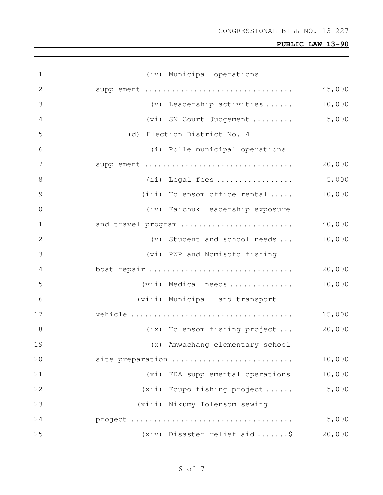| $\mathbf 1$    | (iv) Municipal operations                              |        |
|----------------|--------------------------------------------------------|--------|
| 2              | supplement                                             | 45,000 |
| 3              | $(v)$ Leadership activities $\ldots$ .                 | 10,000 |
| 4              | (vi) SN Court Judgement                                | 5,000  |
| 5              | (d) Election District No. 4                            |        |
| 6              | (i) Polle municipal operations                         |        |
| 7              | supplement                                             | 20,000 |
| 8              | $(ii)$ Legal fees $\ldots \ldots \ldots \ldots \ldots$ | 5,000  |
| $\overline{9}$ | (iii) Tolensom office rental                           | 10,000 |
| 10             | (iv) Faichuk leadership exposure                       |        |
| 11             | and travel program                                     | 40,000 |
| 12             | (v) Student and school needs                           | 10,000 |
| 13             | (vi) PWP and Nomisofo fishing                          |        |
| 14             | boat repair                                            | 20,000 |
| 15             | $(vii)$ Medical needs                                  | 10,000 |
| 16             | (viii) Municipal land transport                        |        |
| 17             |                                                        | 15,000 |
| 18             | (ix) Tolensom fishing project                          | 20,000 |
| 19             | (x) Amwachang elementary school                        |        |
| 20             | site preparation                                       | 10,000 |
| 21             | (xi) FDA supplemental operations                       | 10,000 |
| 22             | (xii) Foupo fishing project                            | 5,000  |
| 23             | (xiii) Nikumy Tolensom sewing                          |        |
| 24             |                                                        | 5,000  |
| 25             | (xiv) Disaster relief aid \$                           | 20,000 |